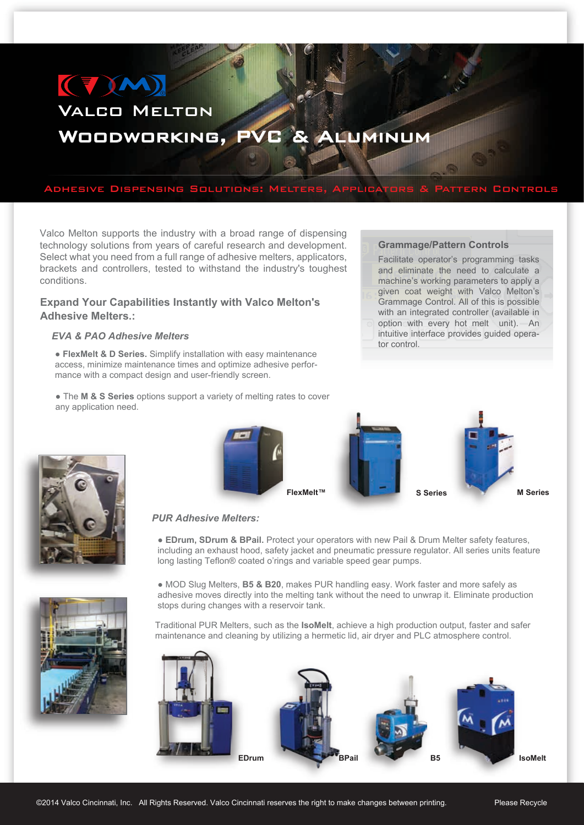# Woodworking, PVC & Aluminum

# Adhesive Dispensing Solutions: Melters, Applicators & Pattern Controls

Valco Melton supports the industry with a broad range of dispensing technology solutions from years of careful research and development. Select what you need from a full range of adhesive melters, applicators, brackets and controllers, tested to withstand the industry's toughest conditions.

# **Expand Your Capabilities Instantly with Valco Melton's Adhesive Melters.:**

#### *EVA & PAO Adhesive Melters*

Valco Melton

 $(T)$ M

**● FlexMelt & D Series.** Simplify installation with easy maintenance access, minimize maintenance times and optimize adhesive performance with a compact design and user-friendly screen.

**●** The **M & S Series** options support a variety of melting rates to cover any application need.

#### **Grammage/Pattern Controls**

Facilitate operator's programming tasks and eliminate the need to calculate a machine's working parameters to apply a given coat weight with Valco Melton's Grammage Control. All of this is possible with an integrated controller (available in option with every hot melt unit). An intuitive interface provides guided operator control.





**● EDrum, SDrum & BPail.** Protect your operators with new Pail & Drum Melter safety features, including an exhaust hood, safety jacket and pneumatic pressure regulator. All series units feature long lasting Teflon® coated o'rings and variable speed gear pumps.

**●** MOD Slug Melters, **B5 & B20**, makes PUR handling easy. Work faster and more safely as adhesive moves directly into the melting tank without the need to unwrap it. Eliminate production stops during changes with a reservoir tank.

Traditional PUR Melters, such as the **IsoMelt**, achieve a high production output, faster and safer maintenance and cleaning by utilizing a hermetic lid, air dryer and PLC atmosphere control.